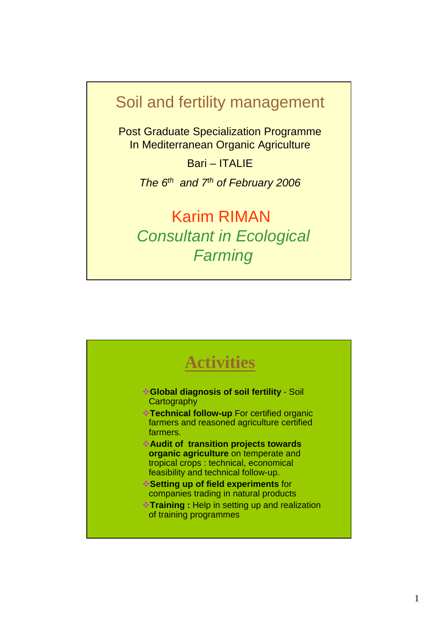### Soil and fertility management

Post Graduate Specialization Programme In Mediterranean Organic Agriculture

Bari – ITALIE

The  $6<sup>th</sup>$  and  $7<sup>th</sup>$  of February 2006

Karim RIMAN Consultant in Ecological **Farming** 

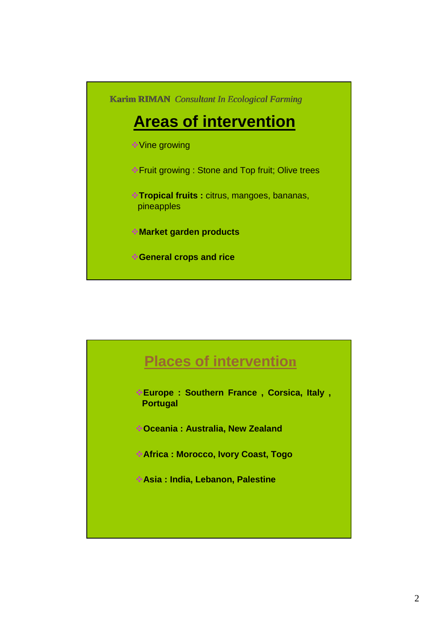**Karim RIMAN** *Consultant In Ecological Farming*

# **Areas of intervention**

Vine growing

- Fruit growing : Stone and Top fruit; Olive trees
- **Tropical fruits :** citrus, mangoes, bananas, pineapples
- **Market garden products**
- **General crops and rice**

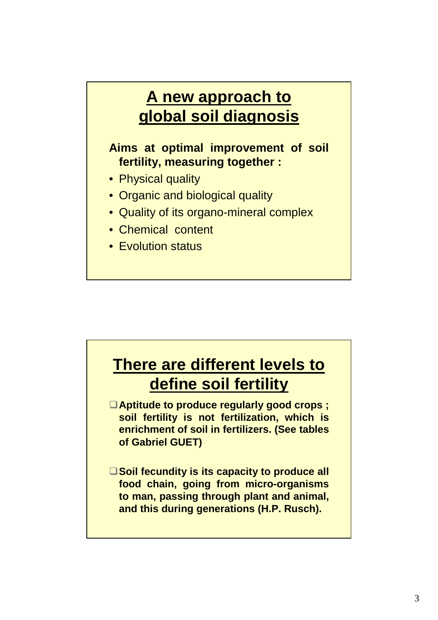# **A new approach to global soil diagnosis**

**Aims at optimal improvement of soil fertility, measuring together :**

- Physical quality
- Organic and biological quality
- Quality of its organo-mineral complex
- Chemical content
- Evolution status

# **There are different levels to define soil fertility**

□ Aptitude to produce regularly good crops ; **soil fertility is not fertilization, which is enrichment of soil in fertilizers. (See tables of Gabriel GUET)**

□ Soil fecundity is its capacity to produce all **food chain, going from micro-organisms to man, passing through plant and animal, and this during generations (H.P. Rusch).**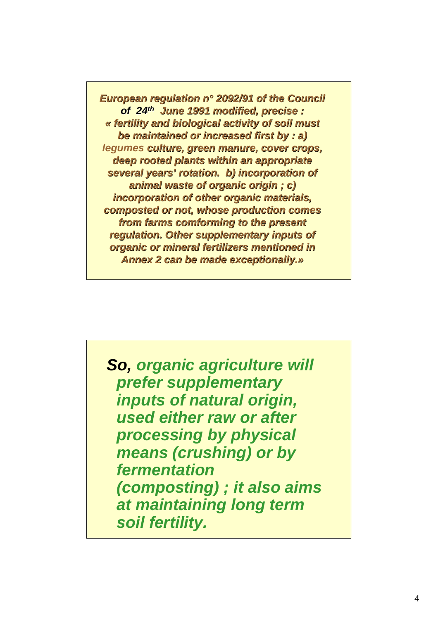**European regulation n***°* **2092/91 of the Council of 24th June 1991 modified, precise : « fertility and biological activity of soil must be maintained or increased first by : a) legumes culture, green manure, cover crops, deep rooted plants within an appropriate several years' rotation. b) incorporation of animal waste of organic origin ; c) incorporation of other organic materials, composted or not, whose production comes from farms comforming to the present regulation. Other supplementary inputs of organic or mineral fertilizers mentioned in Annex 2 can be made exceptionally.»**

**So, organic agriculture will prefer supplementary inputs of natural origin, used either raw or after processing by physical means (crushing) or by fermentation (composting) ; it also aims at maintaining long term soil fertility.**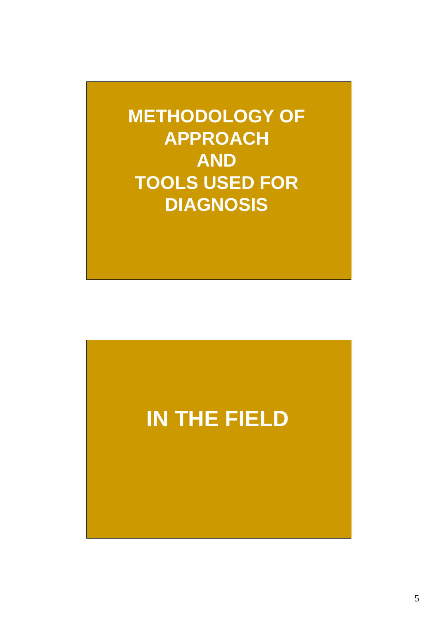**METHODOLOGY OF APPROACH AND TOOLS USED FOR DIAGNOSIS**

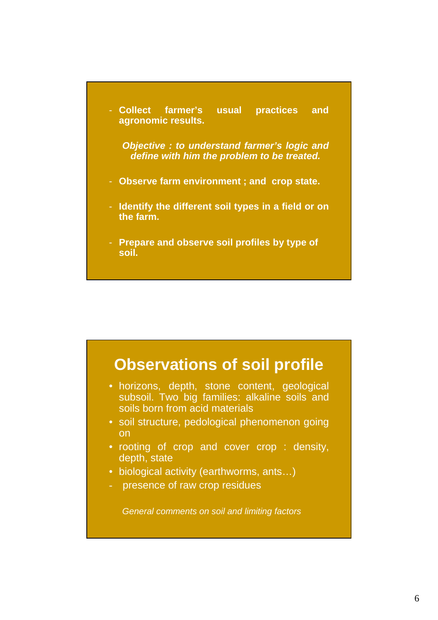- **Collect farmer's usual practices and agronomic results.**

**Objective : to understand farmer's logic and define with him the problem to be treated.**

- **Observe farm environment ; and crop state.**
- **Identify the different soil types in a field or on the farm.**
- **Prepare and observe soil profiles by type of soil.**

### **Observations of soil profile**

- horizons, depth, stone content, geological subsoil. Two big families: alkaline soils and soils born from acid materials
- soil structure, pedological phenomenon going on
- rooting of crop and cover crop : density, depth, state
- biological activity (earthworms, ants...)
- presence of raw crop residues

General comments on soil and limiting factors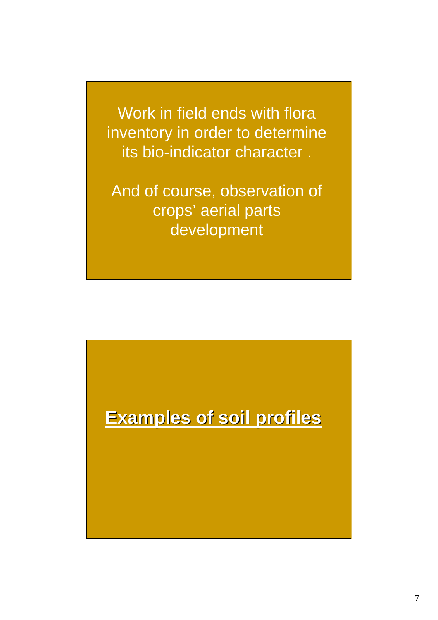Work in field ends with flora inventory in order to determine its bio-indicator character .

And of course, observation of crops' aerial parts development

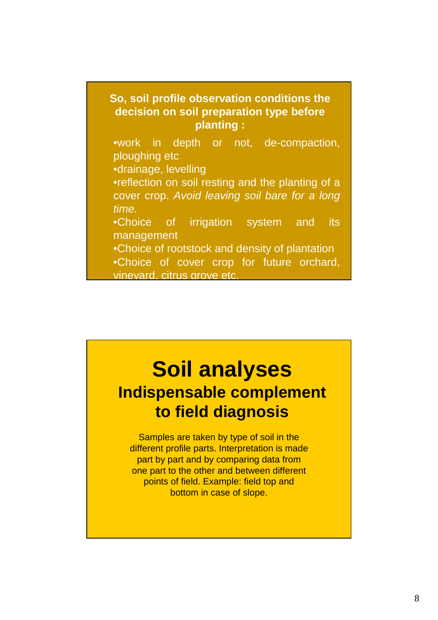

# **Soil analyses Indispensable complement to field diagnosis**

Samples are taken by type of soil in the different profile parts. Interpretation is made part by part and by comparing data from one part to the other and between different points of field. Example: field top and bottom in case of slope.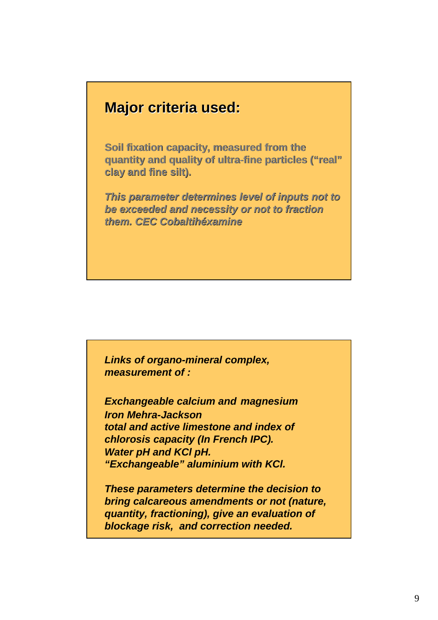#### **Major criteria used:**

**Soil fixation capacity, measured from the quantity and quality of ultra-fine particles ("real" clay and fine silt).** 

**This parameter determines level of inputs not to be exceeded and necessity or not to fraction them. CEC Cobaltihéxamine**

**Links of organo-mineral complex, measurement of :**

**Exchangeable calcium and magnesium Iron Mehra-Jackson total and active limestone and index of chlorosis capacity (In French IPC). Water pH and KCl pH. "Exchangeable" aluminium with KCl.**

**These parameters determine the decision to bring calcareous amendments or not (nature, quantity, fractioning), give an evaluation of blockage risk, and correction needed.**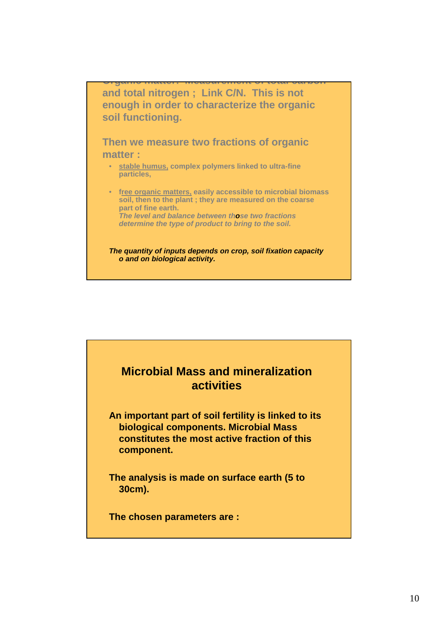**Organic matter: Measurement of total carbon and total nitrogen ; Link C/N. This is not enough in order to characterize the organic soil functioning.** 

**Then we measure two fractions of organic matter :** 

- **stable humus, complex polymers linked to ultra-fine particles,**
- **free organic matters, easily accessible to microbial biomass soil, then to the plant ; they are measured on the coarse part of fine earth. The level and balance between those two fractions determine the type of product to bring to the soil.**

#### **The quantity of inputs depends on crop, soil fixation capacity o and on biological activity.**

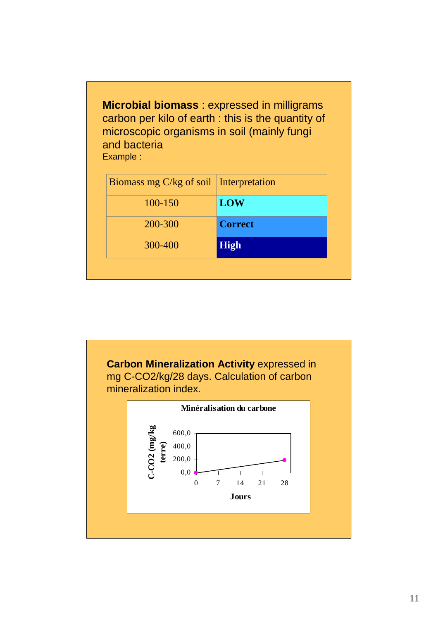**Microbial biomass** : expressed in milligrams carbon per kilo of earth : this is the quantity of microscopic organisms in soil (mainly fungi and bacteria Example :

| Biomass mg $C/kg$ of soil Interpretation |                |
|------------------------------------------|----------------|
| 100-150                                  | <b>LOW</b>     |
| 200-300                                  | <b>Correct</b> |
| 300-400                                  | <b>High</b>    |

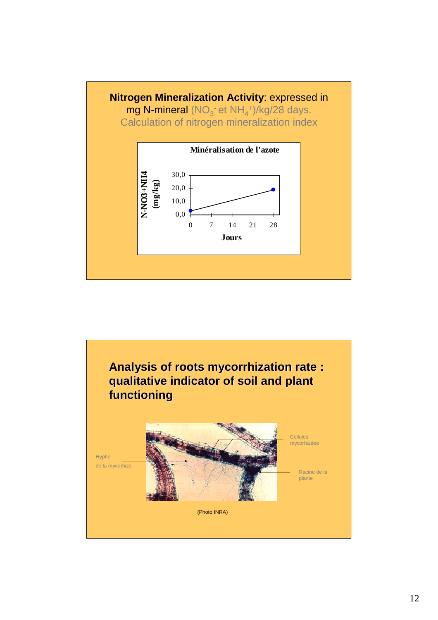

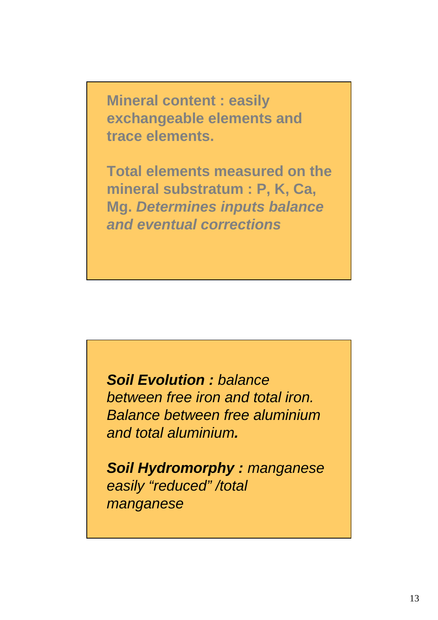**Mineral content : easily exchangeable elements and trace elements.**

**Total elements measured on the mineral substratum : P, K, Ca, Mg. Determines inputs balance and eventual corrections**

**Soil Evolution :** balance between free iron and total iron. Balance between free aluminium and total aluminium**.** 

**Soil Hydromorphy :** manganese easily "reduced" /total manganese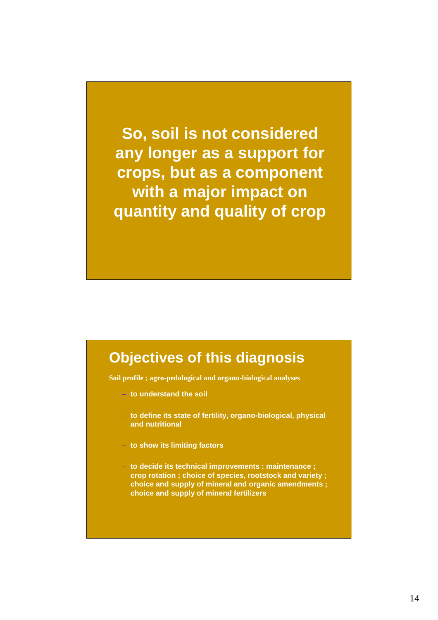**So, soil is not considered any longer as a support for crops, but as a component with a major impact on quantity and quality of crop**

### **Objectives of this diagnosis**

**Soil profile ; agro-pedological and organo-biological analyses**

- **to understand the soil**
- **to define its state of fertility, organo-biological, physical and nutritional**
- **to show its limiting factors**
- **to decide its technical improvements : maintenance ; crop rotation ; choice of species, rootstock and variety ; choice and supply of mineral and organic amendments ; choice and supply of mineral fertilizers**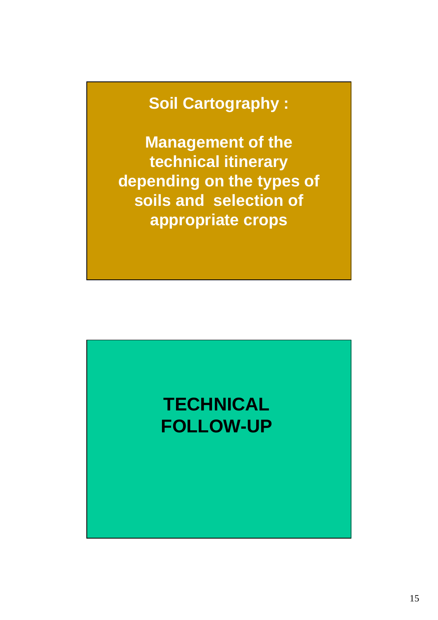## **Soil Cartography :**

**Management of the technical itinerary depending on the types of soils and selection of appropriate crops**

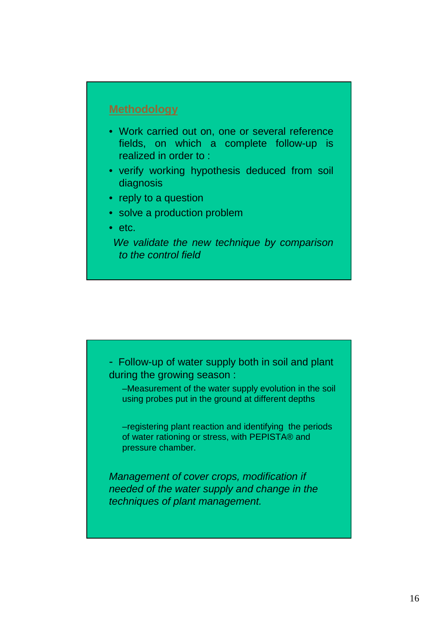#### **Methodology**

- Work carried out on, one or several reference fields, on which a complete follow-up is realized in order to :
- verify working hypothesis deduced from soil diagnosis
- reply to a question
- solve a production problem
- etc.

We validate the new technique by comparison to the control field



Management of cover crops, modification if needed of the water supply and change in the techniques of plant management.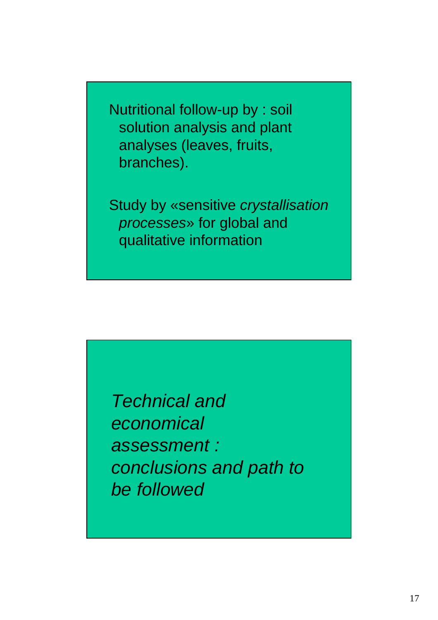Nutritional follow-up by : soil solution analysis and plant analyses (leaves, fruits, branches).

Study by «sensitive crystallisation processes» for global and qualitative information

Technical and economical assessment : conclusions and path to be followed